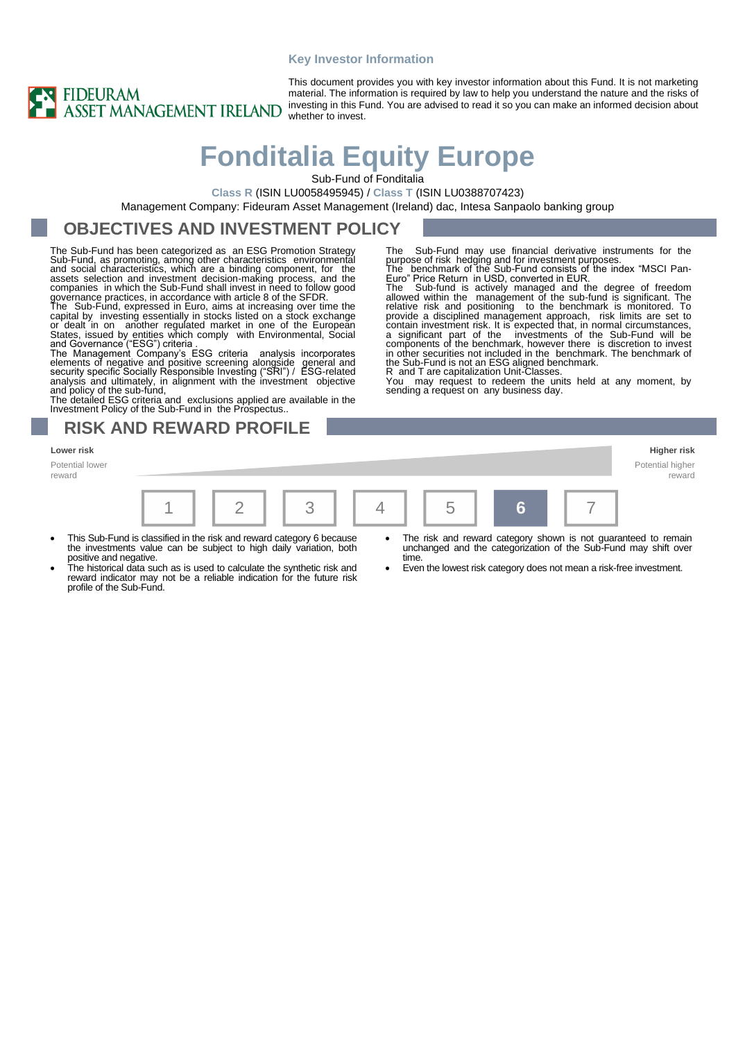#### **Key Investor Information**



This document provides you with key investor information about this Fund. It is not marketing material. The information is required by law to help you understand the nature and the risks of investing in this Fund. You are advised to read it so you can make an informed decision about whether to invest.

# **Fonditalia Equity Europe**

Sub-Fund of Fonditalia

**Class R** (ISIN LU0058495945) / **Class T** (ISIN LU0388707423)

Management Company: Fideuram Asset Management (Ireland) dac, Intesa Sanpaolo banking group

#### **OBJECTIVES AND INVESTMENT POLICY**

The Sub-Fund has been categorized as an ESG Promotion Strategy Sub-Fund, as promoting, among other characteristics environmental<br>and social characteristics, which are a binding component, for the<br>assets selection and investment decision-making process, and the<br>companies in which the S governance practices, in accordance with article 8 of the SFDR.

The Sub-Fund, expressed in Euro, aims at increasing over time the capital by investing essentially in stocks listed on a stock exchange or dealt in on another regulated market in one of the European States, issued by entit

elements of negative and positive screening alongside general and security specific Socially Responsible Investing ("SRI") / ESG-related analysis and ultimately, in alignment with the investment objective

and policy of the sub-fund, The detailed ESG criteria and exclusions applied are available in the Investment Policy of the Sub-Fund in the Prospectus..

#### **RISK AND REWARD PROFILE**

**Lower risk Higher risk** Potential lower reward



- This Sub-Fund is classified in the risk and reward category 6 because the investments value can be subject to high daily variation, both
- positive and negative. The historical data such as is used to calculate the synthetic risk and reward indicator may not be a reliable indication for the future risk profile of the Sub-Fund.
- The risk and reward category shown is not guaranteed to remain

The Sub-Fund may use financial derivative instruments for the

purpose of risk hedging and for investment purposes.<br>The benchmark of the Sub-Fund consists of the index "MSCI Pan-<br>Euro" Price Return in USD, converted in EUR.<br>The Sub-fund is actively managed and the degree of freedom<br>al

relative risk and positioning to the benchmark is monitored. To<br>provide a disciplined management approach, risk limits are set to<br>contain investment risk. It is expected that, in normal circumstances,<br>a significant part of

in other securities not included in the benchmark. The benchmark of

You may request to redeem the units held at any moment, by

the Sub-Fund is not an ESG aligned benchmark. R and T are capitalization Unit-Classes.

sending a request on any business day.

- unchanged and the categorization of the Sub-Fund may shift over time
- Even the lowest risk category does not mean a risk-free investment.